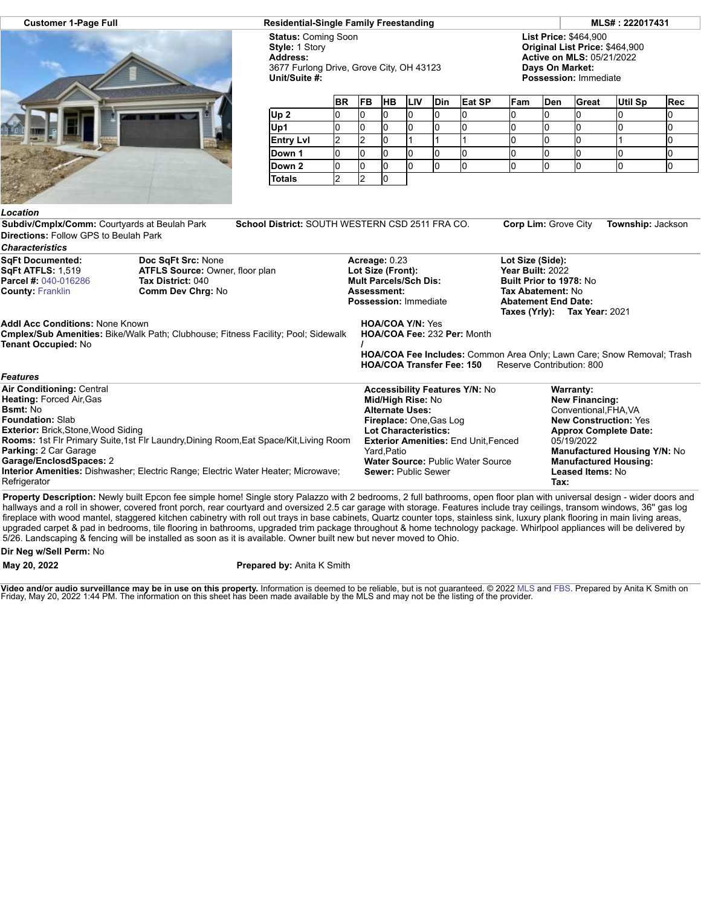

## **Customer 1-Page Full Residential-Single Family Freestanding MLS# : 222017431**

**Status:** Coming Soon **Style:** 1 Story **Address:** 3677 Furlong Drive, Grove City, OH 43123 **Unit/Suite #:**

**List Price:** \$464,900 **Original List Price:** \$464,900 **Active on MLS:** 05/21/2022 **Days On Market: Possession:** Immediate

|                  | <b>BR</b> | <b>FB</b> | <b>HB</b> | <b>LIV</b> | <b>Din</b> | Eat SP | Fam | Den | Great | <b>Util Sp</b> | <b>Rec</b> |
|------------------|-----------|-----------|-----------|------------|------------|--------|-----|-----|-------|----------------|------------|
| Up <sub>2</sub>  |           |           |           |            |            |        |     |     |       |                |            |
| Up1              |           |           |           |            |            |        |     |     |       |                |            |
| <b>Entry LvI</b> |           |           |           |            |            |        |     |     |       |                |            |
| Down 1           |           | υ         | υ         | u          |            |        | U   |     |       |                |            |
| Down 2           |           |           |           |            |            |        | ıu  |     |       |                |            |
| <b>Totals</b>    |           |           |           |            |            |        |     |     |       |                |            |

## *Location*

**Subdiv/Cmplx/Comm:** Courtyards at Beulah Park **School District:** SOUTH WESTERN CSD 2511 FRA CO. **Corp Lim:** Grove City **Township:** Jackson **Directions:** Follow GPS to Beulah Park

| <b>Characteristics</b>                       |                                                                                               |                                                                                                                                                |                                                                                 |  |  |  |  |
|----------------------------------------------|-----------------------------------------------------------------------------------------------|------------------------------------------------------------------------------------------------------------------------------------------------|---------------------------------------------------------------------------------|--|--|--|--|
| <b>SgFt Documented:</b><br>SqFt ATFLS: 1,519 | Doc SqFt Src: None<br><b>ATFLS Source: Owner, floor plan</b>                                  | Acreage: 0.23<br>Lot Size (Front):                                                                                                             | Lot Size (Side):<br>Year Built: 2022<br><b>Built Prior to 1978: No</b>          |  |  |  |  |
| <b>Parcel #: 040-016286</b>                  | Tax District: 040                                                                             | <b>Mult Parcels/Sch Dis:</b>                                                                                                                   |                                                                                 |  |  |  |  |
| <b>County: Franklin</b>                      | Comm Dev Chrg: No                                                                             | <b>Assessment:</b>                                                                                                                             | Tax Abatement: No<br><b>Abatement End Date:</b><br>Taxes (Yrly): Tax Year: 2021 |  |  |  |  |
|                                              |                                                                                               | <b>Possession: Immediate</b>                                                                                                                   |                                                                                 |  |  |  |  |
| <b>Addl Acc Conditions: None Known</b>       |                                                                                               | <b>HOA/COA Y/N: Yes</b>                                                                                                                        |                                                                                 |  |  |  |  |
| <b>Tenant Occupied: No</b>                   | Cmplex/Sub Amenities: Bike/Walk Path; Clubhouse; Fitness Facility; Pool; Sidewalk             | HOA/COA Fee: 232 Per: Month                                                                                                                    |                                                                                 |  |  |  |  |
|                                              |                                                                                               | <b>HOA/COA Fee Includes:</b> Common Area Only; Lawn Care; Snow Removal; Trash<br><b>HOA/COA Transfer Fee: 150</b><br>Reserve Contribution: 800 |                                                                                 |  |  |  |  |
| <b>Features</b>                              |                                                                                               |                                                                                                                                                |                                                                                 |  |  |  |  |
| <b>Air Conditioning: Central</b>             |                                                                                               | <b>Accessibility Features Y/N: No</b>                                                                                                          | Warranty:                                                                       |  |  |  |  |
| <b>Heating: Forced Air, Gas</b>              |                                                                                               | Mid/High Rise: No                                                                                                                              | <b>New Financing:</b>                                                           |  |  |  |  |
| <b>Bsmt:</b> No                              |                                                                                               | <b>Alternate Uses:</b>                                                                                                                         | Conventional, FHA, VA                                                           |  |  |  |  |
| <b>Foundation: Slab</b>                      |                                                                                               | Fireplace: One, Gas Log                                                                                                                        | <b>New Construction: Yes</b>                                                    |  |  |  |  |
| <b>Exterior: Brick, Stone, Wood Siding</b>   |                                                                                               | <b>Lot Characteristics:</b>                                                                                                                    | <b>Approx Complete Date:</b>                                                    |  |  |  |  |
|                                              | <b>Rooms: 1st Flr Primary Suite, 1st Flr Laundry, Dining Room, Eat Space/Kit, Living Room</b> | <b>Exterior Amenities: End Unit Fenced</b>                                                                                                     | 05/19/2022                                                                      |  |  |  |  |
| <b>Parking: 2 Car Garage</b>                 |                                                                                               | Yard.Patio                                                                                                                                     | <b>Manufactured Housing Y/N: No</b>                                             |  |  |  |  |
| Garage/EnclosdSpaces: 2                      |                                                                                               | <b>Water Source: Public Water Source</b>                                                                                                       | <b>Manufactured Housing:</b>                                                    |  |  |  |  |
|                                              | <b>Interior Amenities:</b> Dishwasher; Electric Range; Electric Water Heater; Microwave;      | <b>Sewer: Public Sewer</b>                                                                                                                     | <b>Leased Items: No</b>                                                         |  |  |  |  |
| Refrigerator                                 |                                                                                               |                                                                                                                                                | Tax:                                                                            |  |  |  |  |

**Property Description:** Newly built Epcon fee simple home! Single story Palazzo with 2 bedrooms, 2 full bathrooms, open floor plan with universal design - wider doors and hallways and a roll in shower, covered front porch, rear courtyard and oversized 2.5 car garage with storage. Features include tray ceilings, transom windows, 36'' gas log fireplace with wood mantel, staggered kitchen cabinetry with roll out trays in base cabinets, Quartz counter tops, stainless sink, luxury plank flooring in main living areas, upgraded carpet & pad in bedrooms, tile flooring in bathrooms, upgraded trim package throughout & home technology package. Whirlpool appliances will be delivered by 5/26. Landscaping & fencing will be installed as soon as it is available. Owner built new but never moved to Ohio.

## **Dir Neg w/Sell Perm:** No

## **May 20, 2022 Prepared by:** Anita K Smith

**Video and/or audio surveillance may be in use on this property.** Information is deemed to be reliable, but is not guaranteed. © 2022 [MLS](http://www.columbusrealtors.com/) and [FBS](http://www.flexmls.com/copyright_notice.html?2). Prepared by Anita K Smith on<br>Friday, May 20, 2022 1:44 PM. The information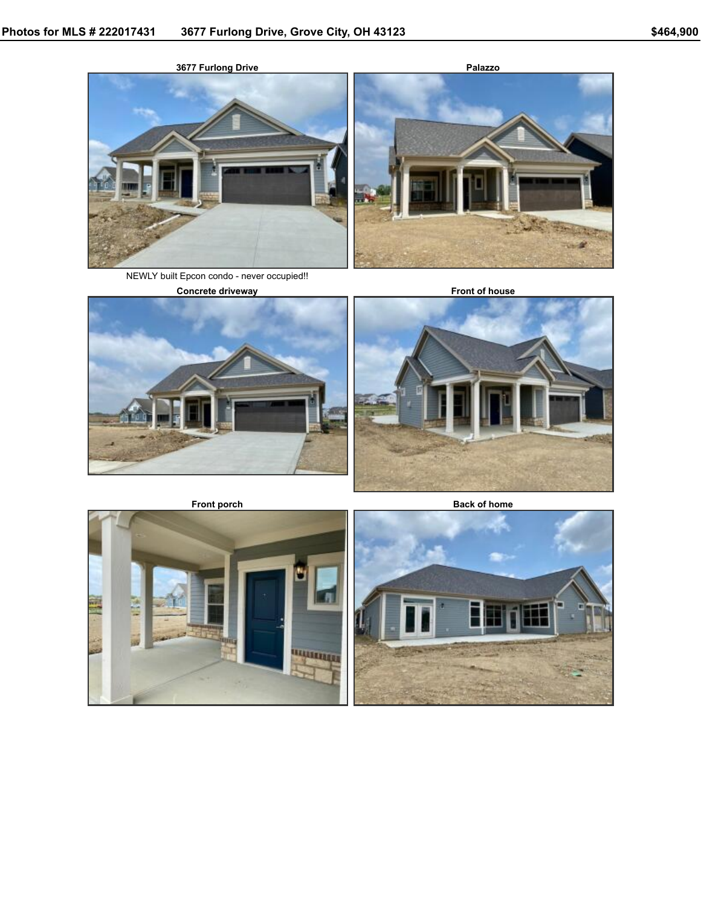





NEWLY built Epcon condo - never occupied!!







**Front porch Back** of home



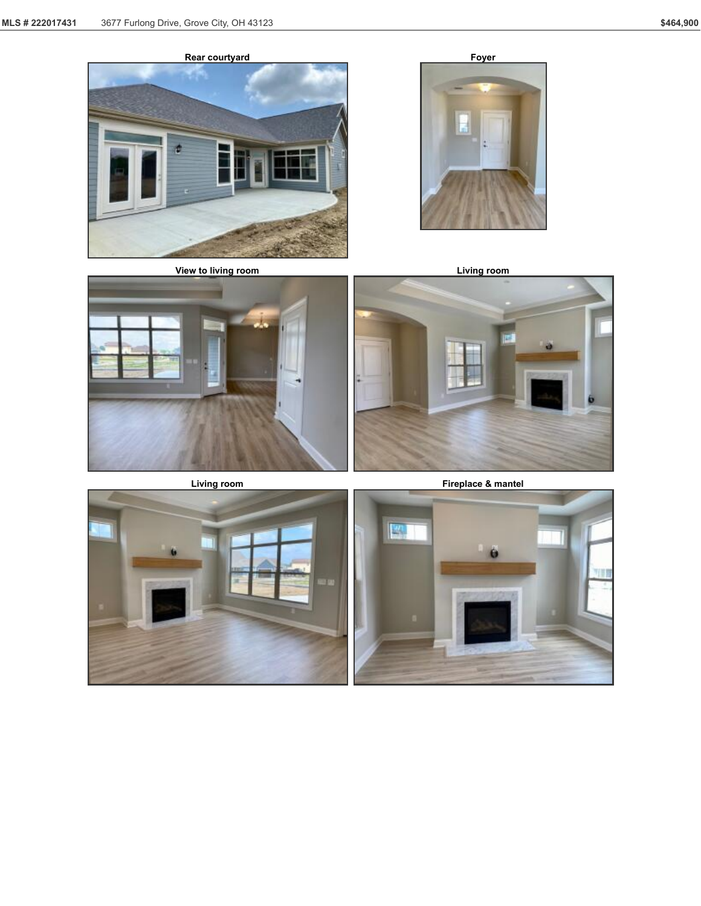



**View to living room Living room**









**Living room Fireplace & mantel**



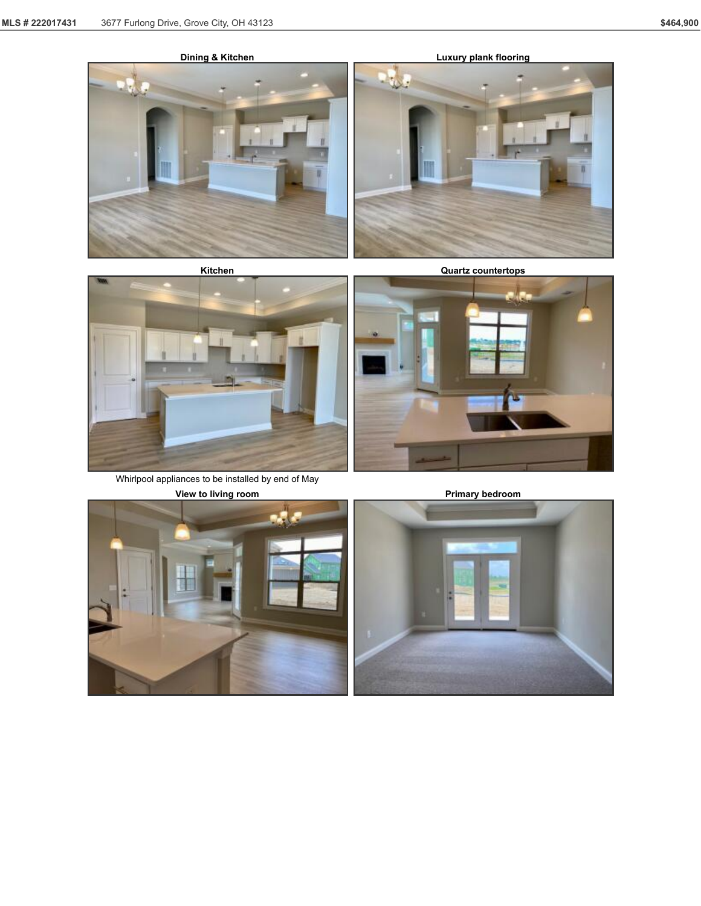17





**Kitchen**



Whirlpool appliances to be installed by end of May

**Quartz countertops**





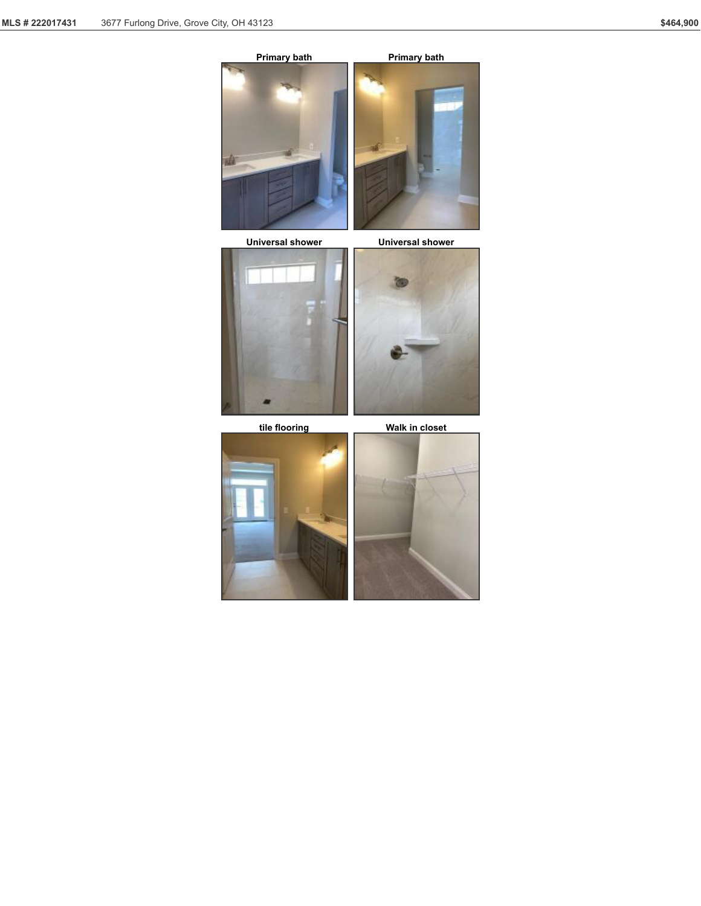

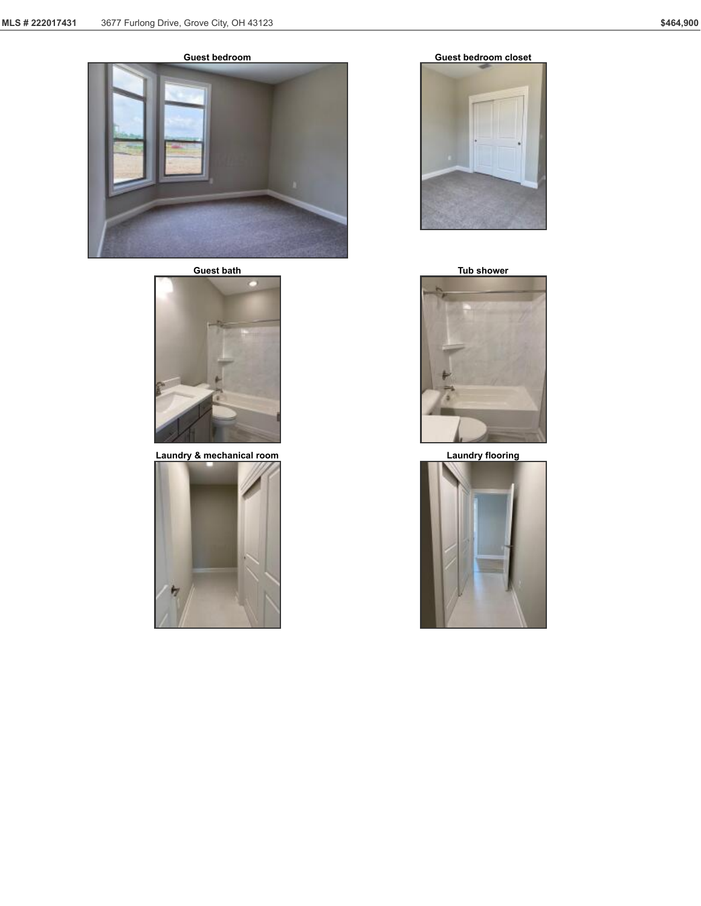

**Guest bath Tub shower**



**Laundry & mechanical room Laundry flooring**









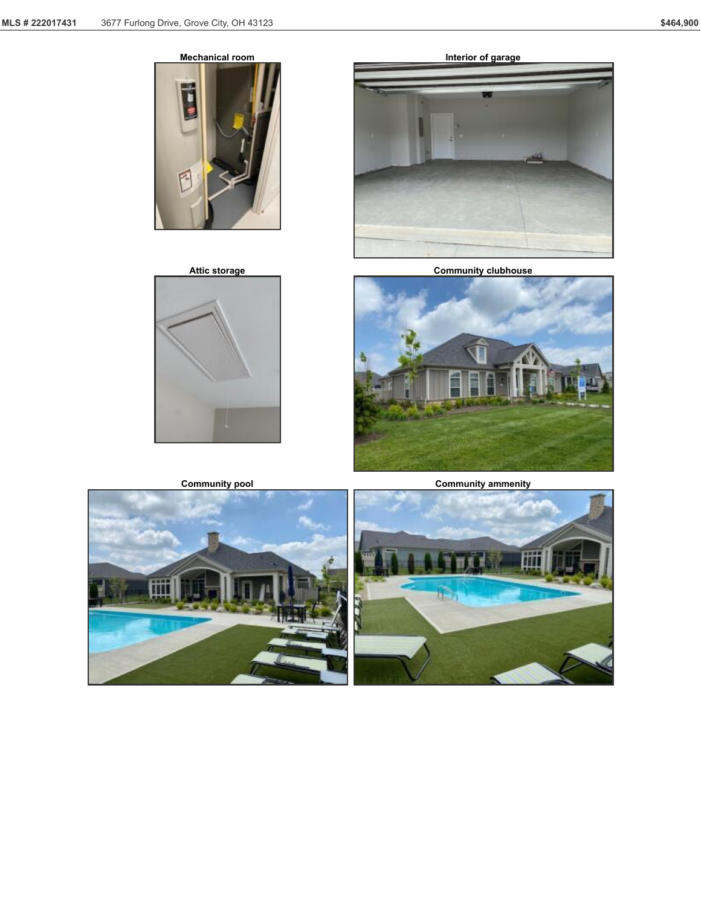$\overline{\phantom{a}}$ 

 $F$